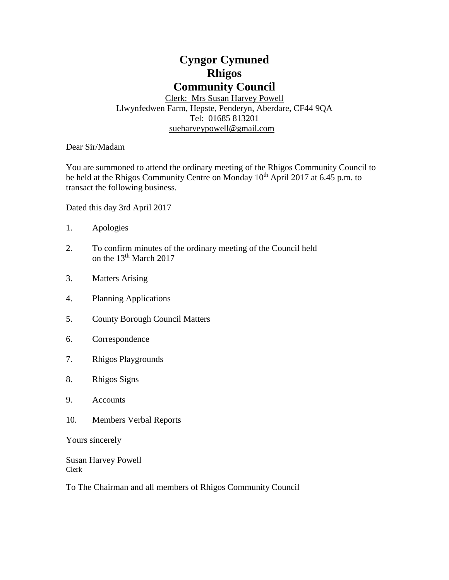# **Cyngor Cymuned Rhigos Community Council**

Clerk: Mrs Susan Harvey Powell Llwynfedwen Farm, Hepste, Penderyn, Aberdare, CF44 9QA Tel: 01685 813201 [sueharveypowell@g](mailto:sharveypowell@comin-infants.co.uk)mail.com

Dear Sir/Madam

You are summoned to attend the ordinary meeting of the Rhigos Community Council to be held at the Rhigos Community Centre on Monday 10<sup>th</sup> April 2017 at 6.45 p.m. to transact the following business.

Dated this day 3rd April 2017

- 1. Apologies
- 2. To confirm minutes of the ordinary meeting of the Council held on the 13<sup>th</sup> March 2017
- 3. Matters Arising
- 4. Planning Applications
- 5. County Borough Council Matters
- 6. Correspondence
- 7. Rhigos Playgrounds
- 8. Rhigos Signs
- 9. Accounts
- 10. Members Verbal Reports

Yours sincerely

Susan Harvey Powell Clerk

To The Chairman and all members of Rhigos Community Council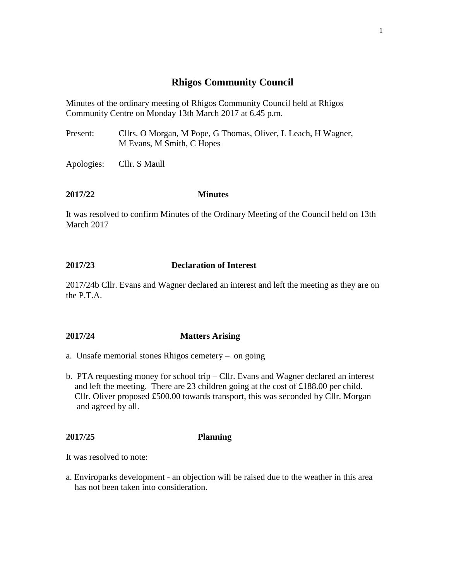## **Rhigos Community Council**

Minutes of the ordinary meeting of Rhigos Community Council held at Rhigos Community Centre on Monday 13th March 2017 at 6.45 p.m.

Present: Cllrs. O Morgan, M Pope, G Thomas, Oliver, L Leach, H Wagner, M Evans, M Smith, C Hopes

Apologies: Cllr. S Maull

### **2017/22 Minutes**

It was resolved to confirm Minutes of the Ordinary Meeting of the Council held on 13th March 2017

## **2017/23 Declaration of Interest**

2017/24b Cllr. Evans and Wagner declared an interest and left the meeting as they are on the P.T.A.

## **2017/24 Matters Arising**

- a. Unsafe memorial stones Rhigos cemetery on going
- b. PTA requesting money for school trip Cllr. Evans and Wagner declared an interest and left the meeting. There are 23 children going at the cost of £188.00 per child. Cllr. Oliver proposed £500.00 towards transport, this was seconded by Cllr. Morgan and agreed by all.

## **2017/25 Planning**

It was resolved to note:

a. Enviroparks development - an objection will be raised due to the weather in this area has not been taken into consideration.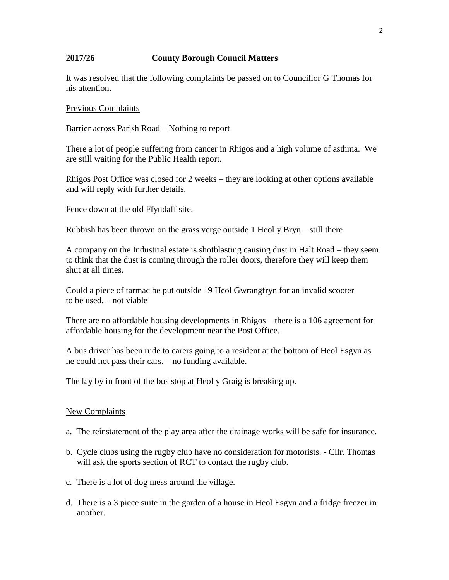## **2017/26 County Borough Council Matters**

It was resolved that the following complaints be passed on to Councillor G Thomas for his attention.

#### Previous Complaints

Barrier across Parish Road – Nothing to report

There a lot of people suffering from cancer in Rhigos and a high volume of asthma. We are still waiting for the Public Health report.

Rhigos Post Office was closed for 2 weeks – they are looking at other options available and will reply with further details.

Fence down at the old Ffyndaff site.

Rubbish has been thrown on the grass verge outside 1 Heol y Bryn – still there

A company on the Industrial estate is shotblasting causing dust in Halt Road – they seem to think that the dust is coming through the roller doors, therefore they will keep them shut at all times.

Could a piece of tarmac be put outside 19 Heol Gwrangfryn for an invalid scooter to be used. – not viable

There are no affordable housing developments in Rhigos – there is a 106 agreement for affordable housing for the development near the Post Office.

A bus driver has been rude to carers going to a resident at the bottom of Heol Esgyn as he could not pass their cars. – no funding available.

The lay by in front of the bus stop at Heol y Graig is breaking up.

#### New Complaints

- a. The reinstatement of the play area after the drainage works will be safe for insurance.
- b. Cycle clubs using the rugby club have no consideration for motorists. Cllr. Thomas will ask the sports section of RCT to contact the rugby club.
- c. There is a lot of dog mess around the village.
- d. There is a 3 piece suite in the garden of a house in Heol Esgyn and a fridge freezer in another.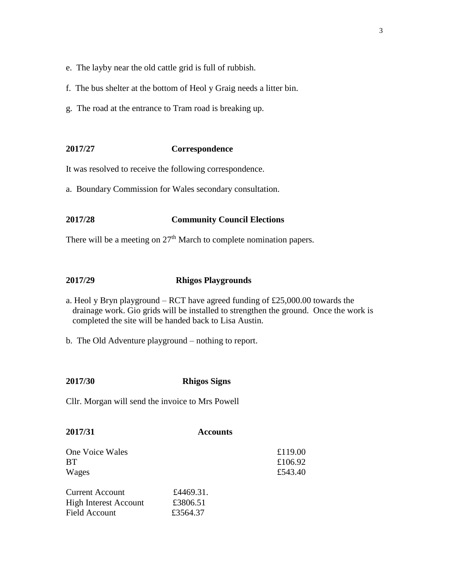- e. The layby near the old cattle grid is full of rubbish.
- f. The bus shelter at the bottom of Heol y Graig needs a litter bin.
- g. The road at the entrance to Tram road is breaking up.

#### **2017/27 Correspondence**

It was resolved to receive the following correspondence.

a. Boundary Commission for Wales secondary consultation.

#### **2017/28 Community Council Elections**

There will be a meeting on 27<sup>th</sup> March to complete nomination papers.

#### **2017/29 Rhigos Playgrounds**

- a. Heol y Bryn playground RCT have agreed funding of £25,000.00 towards the drainage work. Gio grids will be installed to strengthen the ground. Once the work is completed the site will be handed back to Lisa Austin.
- b. The Old Adventure playground nothing to report.

#### **2017/30 Rhigos Signs**

Cllr. Morgan will send the invoice to Mrs Powell

| 2017/31                                                                        | <b>Accounts</b>                   |                               |
|--------------------------------------------------------------------------------|-----------------------------------|-------------------------------|
| One Voice Wales<br><b>BT</b><br>Wages                                          |                                   | £119.00<br>£106.92<br>£543.40 |
| <b>Current Account</b><br><b>High Interest Account</b><br><b>Field Account</b> | £4469.31.<br>£3806.51<br>£3564.37 |                               |